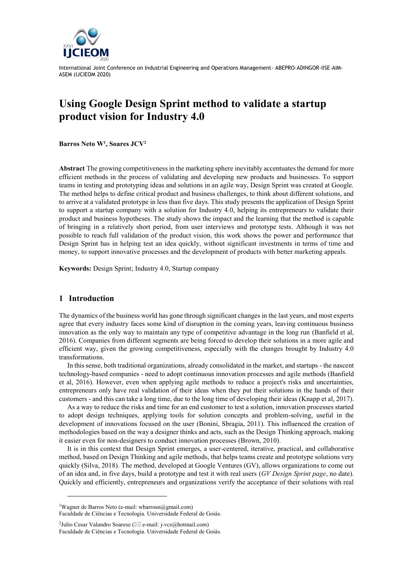

# **Using Google Design Sprint method to validate a startup product vision for Industry 4.0**

**Barros Neto W<sup>1</sup> , Soares JCV<sup>2</sup>**

**Abstract** The growing competitiveness in the marketing sphere inevitably accentuates the demand for more efficient methods in the process of validating and developing new products and businesses. To support teams in testing and prototyping ideas and solutions in an agile way, Design Sprint was created at Google. The method helps to define critical product and business challenges, to think about different solutions, and to arrive at a validated prototype in less than five days. This study presents the application of Design Sprint to support a startup company with a solution for Industry 4.0, helping its entrepreneurs to validate their product and business hypotheses. The study shows the impact and the learning that the method is capable of bringing in a relatively short period, from user interviews and prototype tests. Although it was not possible to reach full validation of the product vision, this work shows the power and performance that Design Sprint has in helping test an idea quickly, without significant investments in terms of time and money, to support innovative processes and the development of products with better marketing appeals.

**Keywords:** Design Sprint; Industry 4.0, Startup company

## **1 Introduction**

l

The dynamics of the business world has gone through significant changes in the last years, and most experts agree that every industry faces some kind of disruption in the coming years, leaving continuous business innovation as the only way to maintain any type of competitive advantage in the long run (Banfield et al, 2016). Companies from different segments are being forced to develop their solutions in a more agile and efficient way, given the growing competitiveness, especially with the changes brought by Industry 4.0 transformations.

In this sense, both traditional organizations, already consolidated in the market, and startups - the nascent technology-based companies - need to adopt continuous innovation processes and agile methods (Banfield et al, 2016). However, even when applying agile methods to reduce a project's risks and uncertainties, entrepreneurs only have real validation of their ideas when they put their solutions in the hands of their customers - and this can take a long time, due to the long time of developing their ideas (Knapp et al, 2017).

As a way to reduce the risks and time for an end customer to test a solution, innovation processes started to adopt design techniques, applying tools for solution concepts and problem-solving, useful in the development of innovations focused on the user (Bonini, Sbragia, 2011). This influenced the creation of methodologies based on the way a designer thinks and acts, such as the Design Thinking approach, making it easier even for non-designers to conduct innovation processes (Brown, 2010).

It is in this context that Design Sprint emerges, a user-centered, iterative, practical, and collaborative method, based on Design Thinking and agile methods, that helps teams create and prototype solutions very quickly (Silva, 2018). The method, developed at Google Ventures (GV), allows organizations to come out of an idea and, in five days, build a prototype and test it with real users (*GV Design Sprint page*, no date). Quickly and efficiently, entrepreneurs and organizations verify the acceptance of their solutions with real

<sup>1</sup>Wagner de Barros Neto (e-mail: wbarrosn@gmail.com) Faculdade de Ciências e Tecnologia. Universidade Federal de Goiás.

<sup>&</sup>lt;sup>2</sup>Julio Cesar Valandro Soarese ( $\boxtimes$  e-mail: j-vcs@hotmail.com) Faculdade de Ciências e Tecnologia. Universidade Federal de Goiás.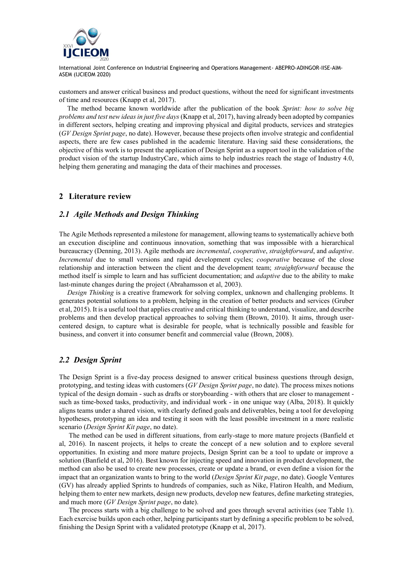

customers and answer critical business and product questions, without the need for significant investments of time and resources (Knapp et al, 2017).

The method became known worldwide after the publication of the book *Sprint: how to solve big problems and test new ideas in just five days* (Knapp et al, 2017), having already been adopted by companies in different sectors, helping creating and improving physical and digital products, services and strategies (*GV Design Sprint page*, no date). However, because these projects often involve strategic and confidential aspects, there are few cases published in the academic literature. Having said these considerations, the objective of this work is to present the application of Design Sprint as a support tool in the validation of the product vision of the startup IndustryCare, which aims to help industries reach the stage of Industry 4.0, helping them generating and managing the data of their machines and processes.

## **2 Literature review**

#### *2.1 Agile Methods and Design Thinking*

The Agile Methods represented a milestone for management, allowing teams to systematically achieve both an execution discipline and continuous innovation, something that was impossible with a hierarchical bureaucracy (Denning, 2013). Agile methods are *incremental*, *cooperative*, *straightforward*, and *adaptive*. *Incremental* due to small versions and rapid development cycles; *cooperative* because of the close relationship and interaction between the client and the development team; *straightforward* because the method itself is simple to learn and has sufficient documentation; and *adaptive* due to the ability to make last-minute changes during the project (Abrahamsson et al, 2003).

*Design Thinking* is a creative framework for solving complex, unknown and challenging problems. It generates potential solutions to a problem, helping in the creation of better products and services (Gruber et al, 2015). It is a useful tool that applies creative and critical thinking to understand, visualize, and describe problems and then develop practical approaches to solving them (Brown, 2010). It aims, through usercentered design, to capture what is desirable for people, what is technically possible and feasible for business, and convert it into consumer benefit and commercial value (Brown, 2008).

# *2.2 Design Sprint*

The Design Sprint is a five-day process designed to answer critical business questions through design, prototyping, and testing ideas with customers (*GV Design Sprint page*, no date). The process mixes notions typical of the design domain - such as drafts or storyboarding - with others that are closer to management such as time-boxed tasks, productivity, and individual work - in one unique way (Alba, 2018). It quickly aligns teams under a shared vision, with clearly defined goals and deliverables, being a tool for developing hypotheses, prototyping an idea and testing it soon with the least possible investment in a more realistic scenario (*Design Sprint Kit page*, no date).

The method can be used in different situations, from early-stage to more mature projects (Banfield et al, 2016). In nascent projects, it helps to create the concept of a new solution and to explore several opportunities. In existing and more mature projects, Design Sprint can be a tool to update or improve a solution (Banfield et al, 2016). Best known for injecting speed and innovation in product development, the method can also be used to create new processes, create or update a brand, or even define a vision for the impact that an organization wants to bring to the world (*Design Sprint Kit page*, no date). Google Ventures (GV) has already applied Sprints to hundreds of companies, such as Nike, Flatiron Health, and Medium, helping them to enter new markets, design new products, develop new features, define marketing strategies, and much more (*GV Design Sprint page*, no date).

The process starts with a big challenge to be solved and goes through several activities (see Table 1). Each exercise builds upon each other, helping participants start by defining a specific problem to be solved, finishing the Design Sprint with a validated prototype (Knapp et al, 2017).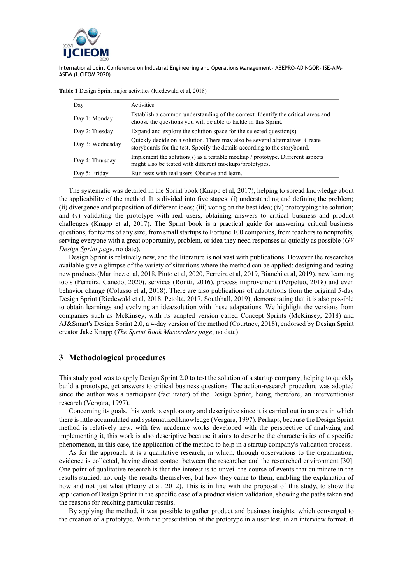

| Day              | Activities                                                                                                                                                 |
|------------------|------------------------------------------------------------------------------------------------------------------------------------------------------------|
| Day 1: Monday    | Establish a common understanding of the context. Identify the critical areas and<br>choose the questions you will be able to tackle in this Sprint.        |
| Day 2: Tuesday   | Expand and explore the solution space for the selected question(s).                                                                                        |
| Day 3: Wednesday | Quickly decide on a solution. There may also be several alternatives. Create<br>storyboards for the test. Specify the details according to the storyboard. |
| Day 4: Thursday  | Implement the solution(s) as a testable mockup / prototype. Different aspects<br>might also be tested with different mockups/prototypes.                   |
| Day 5: Friday    | Run tests with real users. Observe and learn.                                                                                                              |

**Table 1** Design Sprint major activities (Riedewald et al, 2018)

The systematic was detailed in the Sprint book (Knapp et al, 2017), helping to spread knowledge about the applicability of the method. It is divided into five stages: (i) understanding and defining the problem; (ii) divergence and proposition of different ideas; (iii) voting on the best idea; (iv) prototyping the solution; and (v) validating the prototype with real users, obtaining answers to critical business and product challenges (Knapp et al, 2017). The Sprint book is a practical guide for answering critical business questions, for teams of any size, from small startups to Fortune 100 companies, from teachers to nonprofits, serving everyone with a great opportunity, problem, or idea they need responses as quickly as possible (*GV Design Sprint page*, no date).

Design Sprint is relatively new, and the literature is not vast with publications. However the researches available give a glimpse of the variety of situations where the method can be applied: designing and testing new products (Martinez et al, 2018, Pinto et al, 2020, Ferreira et al, 2019, Bianchi et al, 2019), new learning tools (Ferreira, Canedo, 2020), services (Rontti, 2016), process improvement (Perpetuo, 2018) and even behavior change (Colusso et al, 2018). There are also publications of adaptations from the original 5-day Design Sprint (Riedewald et al, 2018, Petolta, 2017, Southhall, 2019), demonstrating that it is also possible to obtain learnings and evolving an idea/solution with these adaptations. We highlight the versions from companies such as McKinsey, with its adapted version called Concept Sprints (McKinsey, 2018) and AJ&Smart's Design Sprint 2.0, a 4-day version of the method (Courtney, 2018), endorsed by Design Sprint creator Jake Knapp (*The Sprint Book Masterclass page*, no date).

## **3 Methodological procedures**

This study goal was to apply Design Sprint 2.0 to test the solution of a startup company, helping to quickly build a prototype, get answers to critical business questions. The action-research procedure was adopted since the author was a participant (facilitator) of the Design Sprint, being, therefore, an interventionist research (Vergara, 1997).

Concerning its goals, this work is exploratory and descriptive since it is carried out in an area in which there is little accumulated and systematized knowledge (Vergara, 1997). Perhaps, because the Design Sprint method is relatively new, with few academic works developed with the perspective of analyzing and implementing it, this work is also descriptive because it aims to describe the characteristics of a specific phenomenon, in this case, the application of the method to help in a startup company's validation process.

As for the approach, it is a qualitative research, in which, through observations to the organization, evidence is collected, having direct contact between the researcher and the researched environment [30]. One point of qualitative research is that the interest is to unveil the course of events that culminate in the results studied, not only the results themselves, but how they came to them, enabling the explanation of how and not just what (Fleury et al, 2012). This is in line with the proposal of this study, to show the application of Design Sprint in the specific case of a product vision validation, showing the paths taken and the reasons for reaching particular results.

By applying the method, it was possible to gather product and business insights, which converged to the creation of a prototype. With the presentation of the prototype in a user test, in an interview format, it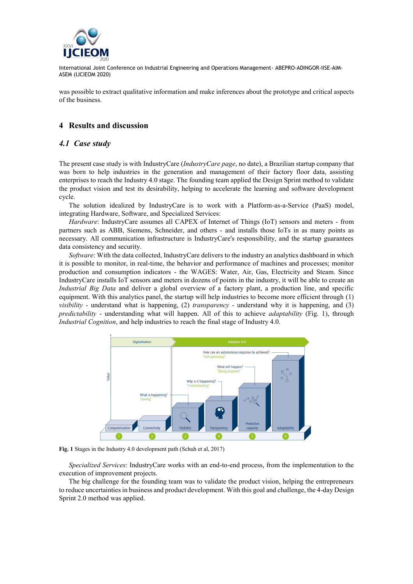

was possible to extract qualitative information and make inferences about the prototype and critical aspects of the business.

# **4 Results and discussion**

## *4.1 Case study*

The present case study is with IndustryCare (*IndustryCare page*, no date), a Brazilian startup company that was born to help industries in the generation and management of their factory floor data, assisting enterprises to reach the Industry 4.0 stage. The founding team applied the Design Sprint method to validate the product vision and test its desirability, helping to accelerate the learning and software development cycle.

The solution idealized by IndustryCare is to work with a Platform-as-a-Service (PaaS) model, integrating Hardware, Software, and Specialized Services:

*Hardware*: IndustryCare assumes all CAPEX of Internet of Things (IoT) sensors and meters - from partners such as ABB, Siemens, Schneider, and others - and installs those IoTs in as many points as necessary. All communication infrastructure is IndustryCare's responsibility, and the startup guarantees data consistency and security.

*Software*: With the data collected, IndustryCare delivers to the industry an analytics dashboard in which it is possible to monitor, in real-time, the behavior and performance of machines and processes; monitor production and consumption indicators - the WAGES: Water, Air, Gas, Electricity and Steam. Since IndustryCare installs IoT sensors and meters in dozens of points in the industry, it will be able to create an *Industrial Big Data* and deliver a global overview of a factory plant, a production line, and specific equipment. With this analytics panel, the startup will help industries to become more efficient through (1) *visibility* - understand what is happening, (2) *transparency* - understand why it is happening, and (3) *predictability* - understanding what will happen. All of this to achieve *adaptability* (Fig. 1), through *Industrial Cognition*, and help industries to reach the final stage of Industry 4.0.



**Fig. 1** Stages in the Industry 4.0 development path (Schuh et al, 2017)

*Specialized Services*: IndustryCare works with an end-to-end process, from the implementation to the execution of improvement projects.

The big challenge for the founding team was to validate the product vision, helping the entrepreneurs to reduce uncertainties in business and product development. With this goal and challenge, the 4-day Design Sprint 2.0 method was applied.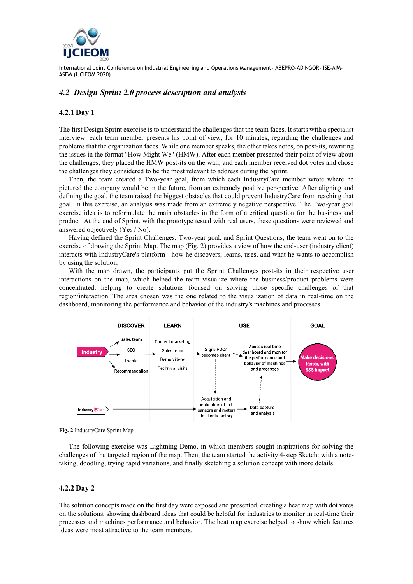

# *4.2 Design Sprint 2.0 process description and analysis*

### **4.2.1 Day 1**

The first Design Sprint exercise is to understand the challenges that the team faces. It starts with a specialist interview: each team member presents his point of view, for 10 minutes, regarding the challenges and problems that the organization faces. While one member speaks, the other takes notes, on post-its, rewriting the issues in the format "How Might We" (HMW). After each member presented their point of view about the challenges, they placed the HMW post-its on the wall, and each member received dot votes and chose the challenges they considered to be the most relevant to address during the Sprint.

Then, the team created a Two-year goal, from which each IndustryCare member wrote where he pictured the company would be in the future, from an extremely positive perspective. After aligning and defining the goal, the team raised the biggest obstacles that could prevent IndustryCare from reaching that goal. In this exercise, an analysis was made from an extremely negative perspective. The Two-year goal exercise idea is to reformulate the main obstacles in the form of a critical question for the business and product. At the end of Sprint, with the prototype tested with real users, these questions were reviewed and answered objectively (Yes / No).

Having defined the Sprint Challenges, Two-year goal, and Sprint Questions, the team went on to the exercise of drawing the Sprint Map. The map (Fig. 2) provides a view of how the end-user (industry client) interacts with IndustryCare's platform - how he discovers, learns, uses, and what he wants to accomplish by using the solution.

With the map drawn, the participants put the Sprint Challenges post-its in their respective user interactions on the map, which helped the team visualize where the business/product problems were concentrated, helping to create solutions focused on solving those specific challenges of that region/interaction. The area chosen was the one related to the visualization of data in real-time on the dashboard, monitoring the performance and behavior of the industry's machines and processes.



**Fig. 2** IndustryCare Sprint Map

The following exercise was Lightning Demo, in which members sought inspirations for solving the challenges of the targeted region of the map. Then, the team started the activity 4-step Sketch: with a notetaking, doodling, trying rapid variations, and finally sketching a solution concept with more details.

## **4.2.2 Day 2**

The solution concepts made on the first day were exposed and presented, creating a heat map with dot votes on the solutions, showing dashboard ideas that could be helpful for industries to monitor in real-time their processes and machines performance and behavior. The heat map exercise helped to show which features ideas were most attractive to the team members.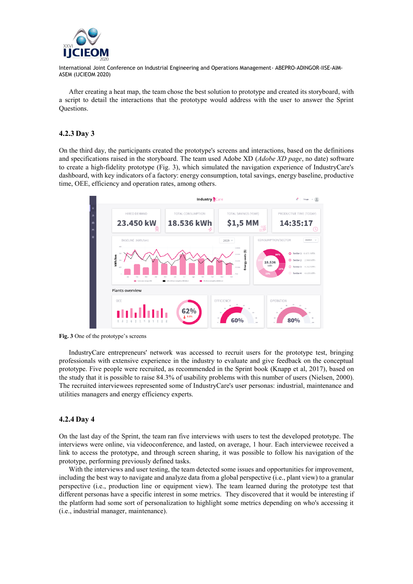

After creating a heat map, the team chose the best solution to prototype and created its storyboard, with a script to detail the interactions that the prototype would address with the user to answer the Sprint Questions.

## **4.2.3 Day 3**

On the third day, the participants created the prototype's screens and interactions, based on the definitions and specifications raised in the storyboard. The team used Adobe XD (*Adobe XD page*, no date) software to create a high-fidelity prototype (Fig. 3), which simulated the navigation experience of IndustryCare's dashboard, with key indicators of a factory: energy consumption, total savings, energy baseline, productive time, OEE, efficiency and operation rates, among others.



**Fig. 3** One of the prototype's screens

IndustryCare entrepreneurs' network was accessed to recruit users for the prototype test, bringing professionals with extensive experience in the industry to evaluate and give feedback on the conceptual prototype. Five people were recruited, as recommended in the Sprint book (Knapp et al, 2017), based on the study that it is possible to raise 84.3% of usability problems with this number of users (Nielsen, 2000). The recruited interviewees represented some of IndustryCare's user personas: industrial, maintenance and utilities managers and energy efficiency experts.

#### **4.2.4 Day 4**

On the last day of the Sprint, the team ran five interviews with users to test the developed prototype. The interviews were online, via videoconference, and lasted, on average, 1 hour. Each interviewee received a link to access the prototype, and through screen sharing, it was possible to follow his navigation of the prototype, performing previously defined tasks.

With the interviews and user testing, the team detected some issues and opportunities for improvement, including the best way to navigate and analyze data from a global perspective (i.e., plant view) to a granular perspective (i.e., production line or equipment view). The team learned during the prototype test that different personas have a specific interest in some metrics. They discovered that it would be interesting if the platform had some sort of personalization to highlight some metrics depending on who's accessing it (i.e., industrial manager, maintenance).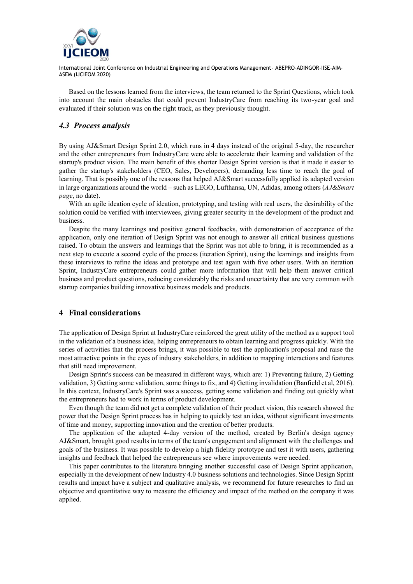

Based on the lessons learned from the interviews, the team returned to the Sprint Questions, which took into account the main obstacles that could prevent IndustryCare from reaching its two-year goal and evaluated if their solution was on the right track, as they previously thought.

## *4.3 Process analysis*

By using AJ&Smart Design Sprint 2.0, which runs in 4 days instead of the original 5-day, the researcher and the other entrepreneurs from IndustryCare were able to accelerate their learning and validation of the startup's product vision. The main benefit of this shorter Design Sprint version is that it made it easier to gather the startup's stakeholders (CEO, Sales, Developers), demanding less time to reach the goal of learning. That is possibly one of the reasons that helped AJ&Smart successfully applied its adapted version in large organizations around the world – such as LEGO, Lufthansa, UN, Adidas, among others (*AJ&Smart page*, no date).

With an agile ideation cycle of ideation, prototyping, and testing with real users, the desirability of the solution could be verified with interviewees, giving greater security in the development of the product and business.

Despite the many learnings and positive general feedbacks, with demonstration of acceptance of the application, only one iteration of Design Sprint was not enough to answer all critical business questions raised. To obtain the answers and learnings that the Sprint was not able to bring, it is recommended as a next step to execute a second cycle of the process (iteration Sprint), using the learnings and insights from these interviews to refine the ideas and prototype and test again with five other users. With an iteration Sprint, IndustryCare entrepreneurs could gather more information that will help them answer critical business and product questions, reducing considerably the risks and uncertainty that are very common with startup companies building innovative business models and products.

## **4 Final considerations**

The application of Design Sprint at IndustryCare reinforced the great utility of the method as a support tool in the validation of a business idea, helping entrepreneurs to obtain learning and progress quickly. With the series of activities that the process brings, it was possible to test the application's proposal and raise the most attractive points in the eyes of industry stakeholders, in addition to mapping interactions and features that still need improvement.

Design Sprint's success can be measured in different ways, which are: 1) Preventing failure, 2) Getting validation, 3) Getting some validation, some things to fix, and 4) Getting invalidation (Banfield et al, 2016). In this context, IndustryCare's Sprint was a success, getting some validation and finding out quickly what the entrepreneurs had to work in terms of product development.

Even though the team did not get a complete validation of their product vision, this research showed the power that the Design Sprint process has in helping to quickly test an idea, without significant investments of time and money, supporting innovation and the creation of better products.

The application of the adapted 4-day version of the method, created by Berlin's design agency AJ&Smart, brought good results in terms of the team's engagement and alignment with the challenges and goals of the business. It was possible to develop a high fidelity prototype and test it with users, gathering insights and feedback that helped the entrepreneurs see where improvements were needed.

This paper contributes to the literature bringing another successful case of Design Sprint application, especially in the development of new Industry 4.0 business solutions and technologies. Since Design Sprint results and impact have a subject and qualitative analysis, we recommend for future researches to find an objective and quantitative way to measure the efficiency and impact of the method on the company it was applied.